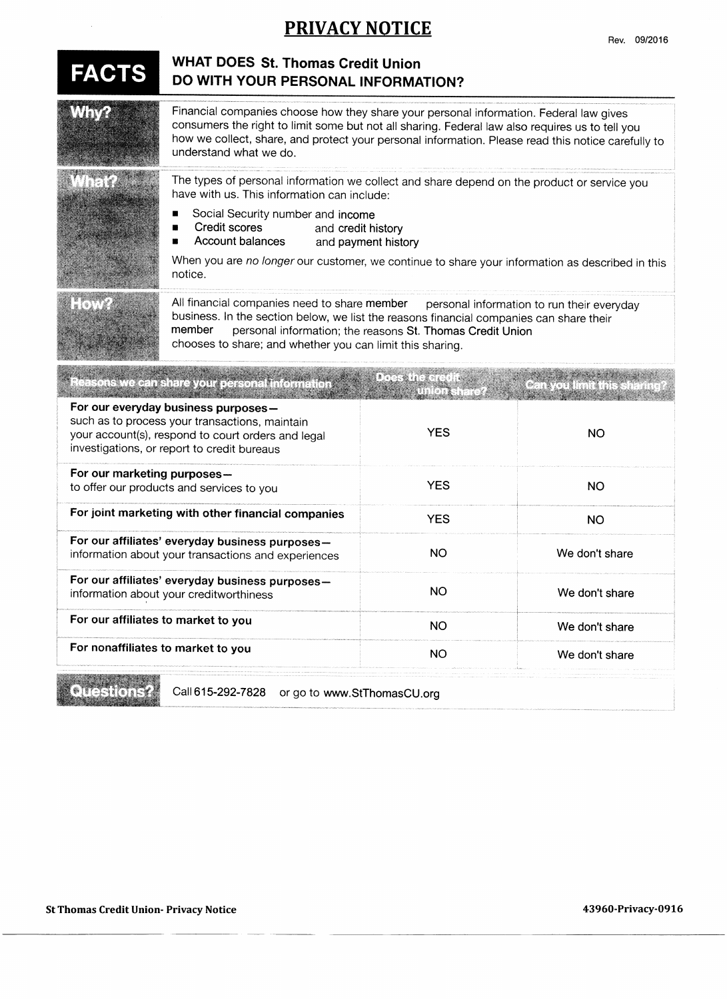## **PRIVACY NOTICE** Rev. 09/2016

| <b>FACTS</b>                                                                                                                                                                               | <b>WHAT DOES St. Thomas Credit Union</b><br>DO WITH YOUR PERSONAL INFORMATION?                                                                                                                                                                                                                                                                                                  |            |                          |
|--------------------------------------------------------------------------------------------------------------------------------------------------------------------------------------------|---------------------------------------------------------------------------------------------------------------------------------------------------------------------------------------------------------------------------------------------------------------------------------------------------------------------------------------------------------------------------------|------------|--------------------------|
|                                                                                                                                                                                            | Financial companies choose how they share your personal information. Federal law gives<br>consumers the right to limit some but not all sharing. Federal law also requires us to tell you<br>how we collect, share, and protect your personal information. Please read this notice carefully to<br>understand what we do.                                                       |            |                          |
| nten af                                                                                                                                                                                    | The types of personal information we collect and share depend on the product or service you<br>have with us. This information can include:<br>Social Security number and income<br>Credit scores<br>and credit history<br>Account balances<br>and payment history<br>When you are no longer our customer, we continue to share your information as described in this<br>notice. |            |                          |
|                                                                                                                                                                                            | All financial companies need to share member<br>personal information to run their everyday<br>business. In the section below, we list the reasons financial companies can share their<br>member<br>personal information; the reasons St. Thomas Credit Union<br>chooses to share; and whether you can limit this sharing.                                                       |            |                          |
|                                                                                                                                                                                            | easons we can sh <mark>are your p</mark> ersonal information                                                                                                                                                                                                                                                                                                                    |            | Can you limit this shari |
| For our everyday business purposes-<br>such as to process your transactions, maintain<br>your account(s), respond to court orders and legal<br>investigations, or report to credit bureaus |                                                                                                                                                                                                                                                                                                                                                                                 | <b>YES</b> | <b>NO</b>                |
| For our marketing purposes-<br>to offer our products and services to you                                                                                                                   |                                                                                                                                                                                                                                                                                                                                                                                 | <b>YES</b> | <b>NO</b>                |
| For joint marketing with other financial companies                                                                                                                                         |                                                                                                                                                                                                                                                                                                                                                                                 | <b>YES</b> | <b>NO</b>                |
| For our affiliates' everyday business purposes-<br>information about your transactions and experiences                                                                                     |                                                                                                                                                                                                                                                                                                                                                                                 | <b>NO</b>  | We don't share           |
| For our affiliates' everyday business purposes-<br>information about your creditworthiness                                                                                                 |                                                                                                                                                                                                                                                                                                                                                                                 | NO         | We don't share           |
| For our affiliates to market to you                                                                                                                                                        |                                                                                                                                                                                                                                                                                                                                                                                 | NO         | We don't share           |
| For nonaffiliates to market to you                                                                                                                                                         |                                                                                                                                                                                                                                                                                                                                                                                 | NO         | We don't share           |

Questions?

 $\bar{z}$ 

Call 615-292-7828 or go to www.StThomasCU.org